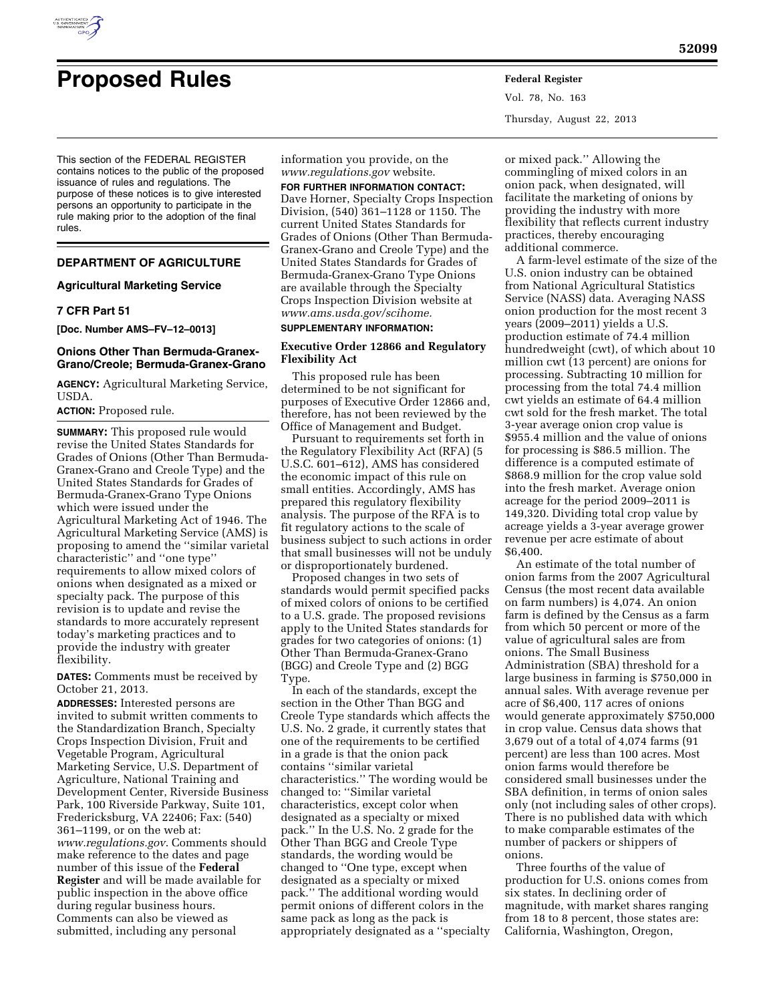

Vol. 78, No. 163 Thursday, August 22, 2013

This section of the FEDERAL REGISTER contains notices to the public of the proposed issuance of rules and regulations. The purpose of these notices is to give interested persons an opportunity to participate in the rule making prior to the adoption of the final rules.

## **DEPARTMENT OF AGRICULTURE**

## **Agricultural Marketing Service**

## **7 CFR Part 51**

**[Doc. Number AMS–FV–12–0013]** 

## **Onions Other Than Bermuda-Granex-Grano/Creole; Bermuda-Granex-Grano**

**AGENCY:** Agricultural Marketing Service, USDA.

## **ACTION:** Proposed rule.

**SUMMARY:** This proposed rule would revise the United States Standards for Grades of Onions (Other Than Bermuda-Granex-Grano and Creole Type) and the United States Standards for Grades of Bermuda-Granex-Grano Type Onions which were issued under the Agricultural Marketing Act of 1946. The Agricultural Marketing Service (AMS) is proposing to amend the ''similar varietal characteristic'' and ''one type'' requirements to allow mixed colors of onions when designated as a mixed or specialty pack. The purpose of this revision is to update and revise the standards to more accurately represent today's marketing practices and to provide the industry with greater flexibility.

**DATES:** Comments must be received by October 21, 2013.

**ADDRESSES:** Interested persons are invited to submit written comments to the Standardization Branch, Specialty Crops Inspection Division, Fruit and Vegetable Program, Agricultural Marketing Service, U.S. Department of Agriculture, National Training and Development Center, Riverside Business Park, 100 Riverside Parkway, Suite 101, Fredericksburg, VA 22406; Fax: (540) 361–1199, or on the web at: *[www.regulations.gov](http://www.regulations.gov)*. Comments should make reference to the dates and page number of this issue of the **Federal Register** and will be made available for public inspection in the above office during regular business hours. Comments can also be viewed as submitted, including any personal

information you provide, on the *[www.regulations.gov](http://www.regulations.gov)* website.

**FOR FURTHER INFORMATION CONTACT:** 

Dave Horner, Specialty Crops Inspection Division, (540) 361–1128 or 1150. The current United States Standards for Grades of Onions (Other Than Bermuda-Granex-Grano and Creole Type) and the United States Standards for Grades of Bermuda-Granex-Grano Type Onions are available through the Specialty Crops Inspection Division website at *[www.ams.usda.gov/scihome.](http://www.ams.usda.gov/scihome)* 

## **SUPPLEMENTARY INFORMATION:**

## **Executive Order 12866 and Regulatory Flexibility Act**

This proposed rule has been determined to be not significant for purposes of Executive Order 12866 and, therefore, has not been reviewed by the Office of Management and Budget.

Pursuant to requirements set forth in the Regulatory Flexibility Act (RFA) (5 U.S.C. 601–612), AMS has considered the economic impact of this rule on small entities. Accordingly, AMS has prepared this regulatory flexibility analysis. The purpose of the RFA is to fit regulatory actions to the scale of business subject to such actions in order that small businesses will not be unduly or disproportionately burdened.

Proposed changes in two sets of standards would permit specified packs of mixed colors of onions to be certified to a U.S. grade. The proposed revisions apply to the United States standards for grades for two categories of onions: (1) Other Than Bermuda-Granex-Grano (BGG) and Creole Type and (2) BGG Type.

In each of the standards, except the section in the Other Than BGG and Creole Type standards which affects the U.S. No. 2 grade, it currently states that one of the requirements to be certified in a grade is that the onion pack contains ''similar varietal characteristics.'' The wording would be changed to: ''Similar varietal characteristics, except color when designated as a specialty or mixed pack.'' In the U.S. No. 2 grade for the Other Than BGG and Creole Type standards, the wording would be changed to ''One type, except when designated as a specialty or mixed pack.'' The additional wording would permit onions of different colors in the same pack as long as the pack is appropriately designated as a ''specialty

or mixed pack.'' Allowing the commingling of mixed colors in an onion pack, when designated, will facilitate the marketing of onions by providing the industry with more flexibility that reflects current industry practices, thereby encouraging additional commerce.

A farm-level estimate of the size of the U.S. onion industry can be obtained from National Agricultural Statistics Service (NASS) data. Averaging NASS onion production for the most recent 3 years (2009–2011) yields a U.S. production estimate of 74.4 million hundredweight (cwt), of which about 10 million cwt (13 percent) are onions for processing. Subtracting 10 million for processing from the total 74.4 million cwt yields an estimate of 64.4 million cwt sold for the fresh market. The total 3-year average onion crop value is \$955.4 million and the value of onions for processing is \$86.5 million. The difference is a computed estimate of \$868.9 million for the crop value sold into the fresh market. Average onion acreage for the period 2009–2011 is 149,320. Dividing total crop value by acreage yields a 3-year average grower revenue per acre estimate of about \$6,400.

An estimate of the total number of onion farms from the 2007 Agricultural Census (the most recent data available on farm numbers) is 4,074. An onion farm is defined by the Census as a farm from which 50 percent or more of the value of agricultural sales are from onions. The Small Business Administration (SBA) threshold for a large business in farming is \$750,000 in annual sales. With average revenue per acre of \$6,400, 117 acres of onions would generate approximately \$750,000 in crop value. Census data shows that 3,679 out of a total of 4,074 farms (91 percent) are less than 100 acres. Most onion farms would therefore be considered small businesses under the SBA definition, in terms of onion sales only (not including sales of other crops). There is no published data with which to make comparable estimates of the number of packers or shippers of onions.

Three fourths of the value of production for U.S. onions comes from six states. In declining order of magnitude, with market shares ranging from 18 to 8 percent, those states are: California, Washington, Oregon,